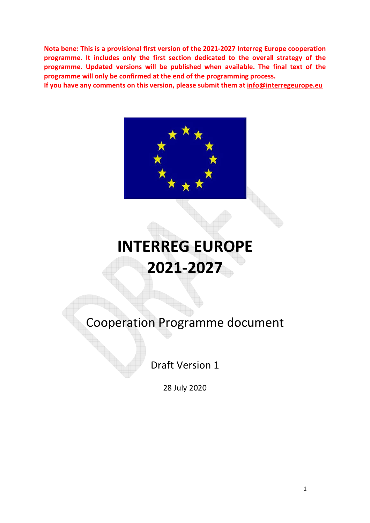Nota bene: This is a provisional first version of the 2021-2027 Interreg Europe cooperation programme. It includes only the first section dedicated to the overall strategy of the programme. Updated versions will be published when available. The final text of the programme will only be confirmed at the end of the programming process.

If you have any comments on this version, please submit them at info@interregeurope.eu



# INTERREG EUROPE 2021-2027

Cooperation Programme document

Draft Version 1

28 July 2020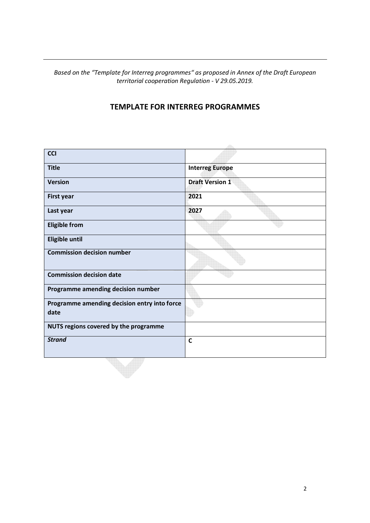Based on the "Template for Interreg programmes" as proposed in Annex of the Draft European territorial cooperation Regulation - V 29.05.2019.

# TEMPLATE FOR INTERREG PROGRAMMES

| <b>CCI</b>                                           |                        |
|------------------------------------------------------|------------------------|
| <b>Title</b>                                         | <b>Interreg Europe</b> |
| <b>Version</b>                                       | <b>Draft Version 1</b> |
| <b>First year</b>                                    | 2021                   |
| Last year                                            | 2027                   |
| <b>Eligible from</b>                                 |                        |
| <b>Eligible until</b>                                |                        |
| <b>Commission decision number</b>                    |                        |
| <b>Commission decision date</b>                      |                        |
| Programme amending decision number                   |                        |
| Programme amending decision entry into force<br>date |                        |
| NUTS regions covered by the programme                |                        |
| <b>Strand</b>                                        | $\mathbf C$            |
|                                                      |                        |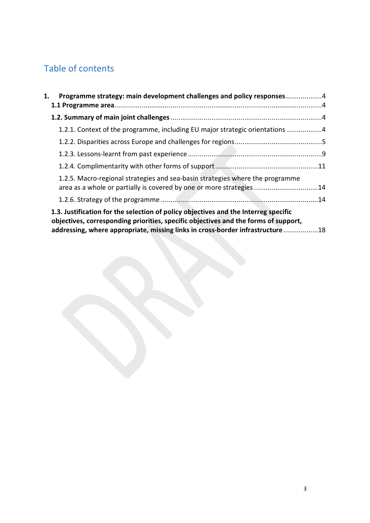# Table of contents

| 1. | Programme strategy: main development challenges and policy responses4                                                                                                                                                                                       |  |
|----|-------------------------------------------------------------------------------------------------------------------------------------------------------------------------------------------------------------------------------------------------------------|--|
|    |                                                                                                                                                                                                                                                             |  |
|    | 1.2.1. Context of the programme, including EU major strategic orientations 4                                                                                                                                                                                |  |
|    |                                                                                                                                                                                                                                                             |  |
|    |                                                                                                                                                                                                                                                             |  |
|    |                                                                                                                                                                                                                                                             |  |
|    | 1.2.5. Macro-regional strategies and sea-basin strategies where the programme<br>area as a whole or partially is covered by one or more strategies 14                                                                                                       |  |
|    |                                                                                                                                                                                                                                                             |  |
|    | 1.3. Justification for the selection of policy objectives and the Interreg specific<br>objectives, corresponding priorities, specific objectives and the forms of support,<br>addressing, where appropriate, missing links in cross-border infrastructure18 |  |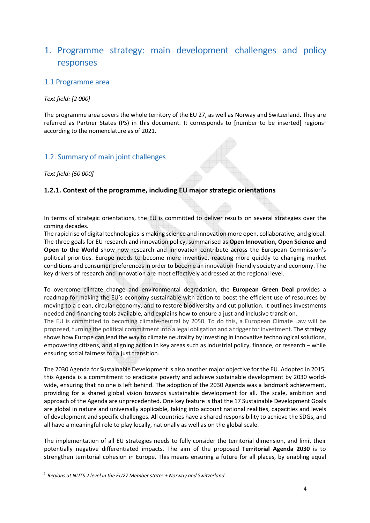# 1. Programme strategy: main development challenges and policy responses

# 1.1 Programme area

## Text field: [2 000]

The programme area covers the whole territory of the EU 27, as well as Norway and Switzerland. They are referred as Partner States (PS) in this document. It corresponds to [number to be inserted] regions<sup>1</sup> according to the nomenclature as of 2021.

# 1.2. Summary of main joint challenges

Text field: [50 000]

 $\overline{a}$ 

# 1.2.1. Context of the programme, including EU major strategic orientations

In terms of strategic orientations, the EU is committed to deliver results on several strategies over the coming decades.

The rapid rise of digital technologies is making science and innovation more open, collaborative, and global. The three goals for EU research and innovation policy, summarised as Open Innovation, Open Science and Open to the World show how research and innovation contribute across the European Commission's political priorities. Europe needs to become more inventive, reacting more quickly to changing market conditions and consumer preferences in order to become an innovation-friendly society and economy. The key drivers of research and innovation are most effectively addressed at the regional level.

To overcome climate change and environmental degradation, the European Green Deal provides a roadmap for making the EU's economy sustainable with action to boost the efficient use of resources by moving to a clean, circular economy, and to restore biodiversity and cut pollution. It outlines investments needed and financing tools available, and explains how to ensure a just and inclusive transition.

The EU is committed to becoming climate-neutral by 2050. To do this, a European Climate Law will be proposed, turning the political commitment into a legal obligation and a trigger for investment. The strategy shows how Europe can lead the way to climate neutrality by investing in innovative technological solutions, empowering citizens, and aligning action in key areas such as industrial policy, finance, or research – while ensuring social fairness for a just transition.

The 2030 Agenda for Sustainable Development is also another major objective for the EU. Adopted in 2015, this Agenda is a commitment to eradicate poverty and achieve sustainable development by 2030 worldwide, ensuring that no one is left behind. The adoption of the 2030 Agenda was a landmark achievement, providing for a shared global vision towards sustainable development for all. The scale, ambition and approach of the Agenda are unprecedented. One key feature is that the 17 Sustainable Development Goals are global in nature and universally applicable, taking into account national realities, capacities and levels of development and specific challenges. All countries have a shared responsibility to achieve the SDGs, and all have a meaningful role to play locally, nationally as well as on the global scale.

The implementation of all EU strategies needs to fully consider the territorial dimension, and limit their potentially negative differentiated impacts. The aim of the proposed Territorial Agenda 2030 is to strengthen territorial cohesion in Europe. This means ensuring a future for all places, by enabling equal

 $1$  Regions at NUTS 2 level in the EU27 Member states + Norway and Switzerland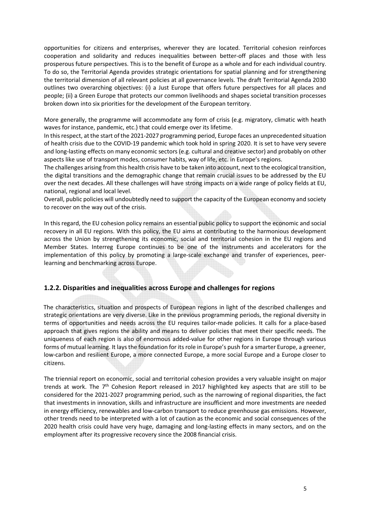opportunities for citizens and enterprises, wherever they are located. Territorial cohesion reinforces cooperation and solidarity and reduces inequalities between better-off places and those with less prosperous future perspectives. This is to the benefit of Europe as a whole and for each individual country. To do so, the Territorial Agenda provides strategic orientations for spatial planning and for strengthening the territorial dimension of all relevant policies at all governance levels. The draft Territorial Agenda 2030 outlines two overarching objectives: (i) a Just Europe that offers future perspectives for all places and people; (ii) a Green Europe that protects our common livelihoods and shapes societal transition processes broken down into six priorities for the development of the European territory.

More generally, the programme will accommodate any form of crisis (e.g. migratory, climatic with heath waves for instance, pandemic, etc.) that could emerge over its lifetime.

In this respect, at the start of the 2021-2027 programming period, Europe faces an unprecedented situation of health crisis due to the COVID-19 pandemic which took hold in spring 2020. It is set to have very severe and long-lasting effects on many economic sectors (e.g. cultural and creative sector) and probably on other aspects like use of transport modes, consumer habits, way of life, etc. in Europe's regions.

The challenges arising from this health crisis have to be taken into account, next to the ecological transition, the digital transitions and the demographic change that remain crucial issues to be addressed by the EU over the next decades. All these challenges will have strong impacts on a wide range of policy fields at EU, national, regional and local level.

Overall, public policies will undoubtedly need to support the capacity of the European economy and society to recover on the way out of the crisis.

In this regard, the EU cohesion policy remains an essential public policy to support the economic and social recovery in all EU regions. With this policy, the EU aims at contributing to the harmonious development across the Union by strengthening its economic, social and territorial cohesion in the EU regions and Member States. Interreg Europe continues to be one of the instruments and accelerators for the implementation of this policy by promoting a large-scale exchange and transfer of experiences, peerlearning and benchmarking across Europe.

#### 1.2.2. Disparities and inequalities across Europe and challenges for regions

The characteristics, situation and prospects of European regions in light of the described challenges and strategic orientations are very diverse. Like in the previous programming periods, the regional diversity in terms of opportunities and needs across the EU requires tailor-made policies. It calls for a place-based approach that gives regions the ability and means to deliver policies that meet their specific needs. The uniqueness of each region is also of enormous added-value for other regions in Europe through various forms of mutual learning. It lays the foundation for its role in Europe's push for a smarter Europe, a greener, low-carbon and resilient Europe, a more connected Europe, a more social Europe and a Europe closer to citizens.

The triennial report on economic, social and territorial cohesion provides a very valuable insight on major trends at work. The  $7<sup>th</sup>$  Cohesion Report released in 2017 highlighted key aspects that are still to be considered for the 2021-2027 programming period, such as the narrowing of regional disparities, the fact that investments in innovation, skills and infrastructure are insufficient and more investments are needed in energy efficiency, renewables and low-carbon transport to reduce greenhouse gas emissions. However, other trends need to be interpreted with a lot of caution as the economic and social consequences of the 2020 health crisis could have very huge, damaging and long-lasting effects in many sectors, and on the employment after its progressive recovery since the 2008 financial crisis.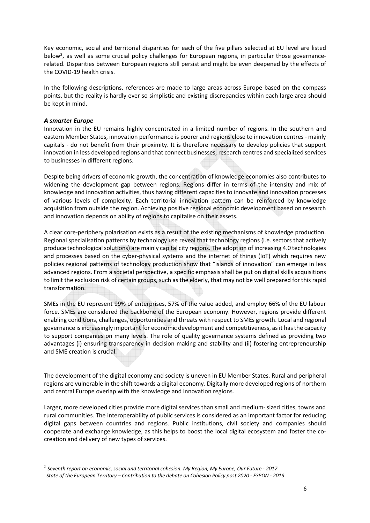Key economic, social and territorial disparities for each of the five pillars selected at EU level are listed below<sup>2</sup>, as well as some crucial policy challenges for European regions, in particular those governancerelated. Disparities between European regions still persist and might be even deepened by the effects of the COVID-19 health crisis.

In the following descriptions, references are made to large areas across Europe based on the compass points, but the reality is hardly ever so simplistic and existing discrepancies within each large area should be kept in mind.

#### A smarter Europe

 $\overline{a}$ 

Innovation in the EU remains highly concentrated in a limited number of regions. In the southern and eastern Member States, innovation performance is poorer and regions close to innovation centres - mainly capitals - do not benefit from their proximity. It is therefore necessary to develop policies that support innovation in less developed regions and that connect businesses, research centres and specialized services to businesses in different regions.

Despite being drivers of economic growth, the concentration of knowledge economies also contributes to widening the development gap between regions. Regions differ in terms of the intensity and mix of knowledge and innovation activities, thus having different capacities to innovate and innovation processes of various levels of complexity. Each territorial innovation pattern can be reinforced by knowledge acquisition from outside the region. Achieving positive regional economic development based on research and innovation depends on ability of regions to capitalise on their assets.

A clear core-periphery polarisation exists as a result of the existing mechanisms of knowledge production. Regional specialisation patterns by technology use reveal that technology regions (i.e. sectors that actively produce technological solutions) are mainly capital city regions. The adoption of increasing 4.0 technologies and processes based on the cyber-physical systems and the internet of things (IoT) which requires new policies regional patterns of technology production show that "islands of innovation" can emerge in less advanced regions. From a societal perspective, a specific emphasis shall be put on digital skills acquisitions to limit the exclusion risk of certain groups, such as the elderly, that may not be well prepared for this rapid transformation.

SMEs in the EU represent 99% of enterprises, 57% of the value added, and employ 66% of the EU labour force. SMEs are considered the backbone of the European economy. However, regions provide different enabling conditions, challenges, opportunities and threats with respect to SMEs growth. Local and regional governance is increasingly important for economic development and competitiveness, as it has the capacity to support companies on many levels. The role of quality governance systems defined as providing two advantages (i) ensuring transparency in decision making and stability and (ii) fostering entrepreneurship and SME creation is crucial.

The development of the digital economy and society is uneven in EU Member States. Rural and peripheral regions are vulnerable in the shift towards a digital economy. Digitally more developed regions of northern and central Europe overlap with the knowledge and innovation regions.

Larger, more developed cities provide more digital services than small and medium- sized cities, towns and rural communities. The interoperability of public services is considered as an important factor for reducing digital gaps between countries and regions. Public institutions, civil society and companies should cooperate and exchange knowledge, as this helps to boost the local digital ecosystem and foster the cocreation and delivery of new types of services.

 $^2$  Seventh report on economic, social and territorial cohesion. My Region, My Europe, Our Future - 2017 State of the European Territory – Contribution to the debate on Cohesion Policy post 2020 - ESPON - 2019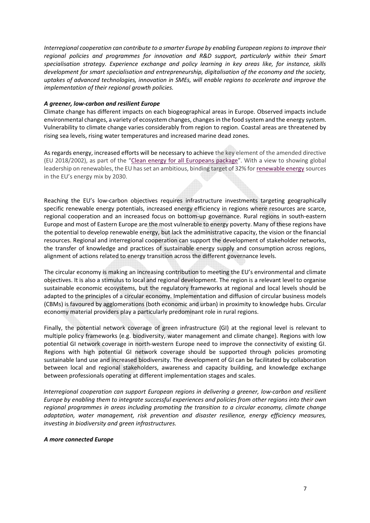Interregional cooperation can contribute to a smarter Europe by enabling European regions to improve their regional policies and programmes for innovation and R&D support, particularly within their Smart specialisation strategy. Experience exchange and policy learning in key areas like, for instance, skills development for smart specialisation and entrepreneurship, digitalisation of the economy and the society, uptakes of advanced technologies, innovation in SMEs, will enable regions to accelerate and improve the implementation of their regional growth policies.

#### A greener, low-carbon and resilient Europe

Climate change has different impacts on each biogeographical areas in Europe. Observed impacts include environmental changes, a variety of ecosystem changes, changes in the food system and the energy system. Vulnerability to climate change varies considerably from region to region. Coastal areas are threatened by rising sea levels, rising water temperatures and increased marine dead zones.

As regards energy, increased efforts will be necessary to achieve the key element of the amended directive (EU 2018/2002), as part of the "Clean energy for all Europeans package". With a view to showing global leadership on renewables, the EU has set an ambitious, binding target of 32% for renewable energy sources in the EU's energy mix by 2030.

Reaching the EU's low-carbon objectives requires infrastructure investments targeting geographically specific renewable energy potentials, increased energy efficiency in regions where resources are scarce, regional cooperation and an increased focus on bottom-up governance. Rural regions in south-eastern Europe and most of Eastern Europe are the most vulnerable to energy poverty. Many of these regions have the potential to develop renewable energy, but lack the administrative capacity, the vision or the financial resources. Regional and interregional cooperation can support the development of stakeholder networks, the transfer of knowledge and practices of sustainable energy supply and consumption across regions, alignment of actions related to energy transition across the different governance levels.

The circular economy is making an increasing contribution to meeting the EU's environmental and climate objectives. It is also a stimulus to local and regional development. The region is a relevant level to organise sustainable economic ecosystems, but the regulatory frameworks at regional and local levels should be adapted to the principles of a circular economy. Implementation and diffusion of circular business models (CBMs) is favoured by agglomerations (both economic and urban) in proximity to knowledge hubs. Circular economy material providers play a particularly predominant role in rural regions.

Finally, the potential network coverage of green infrastructure (GI) at the regional level is relevant to multiple policy frameworks (e.g. biodiversity, water management and climate change). Regions with low potential GI network coverage in north-western Europe need to improve the connectivity of existing GI. Regions with high potential GI network coverage should be supported through policies promoting sustainable land use and increased biodiversity. The development of GI can be facilitated by collaboration between local and regional stakeholders, awareness and capacity building, and knowledge exchange between professionals operating at different implementation stages and scales.

Interregional cooperation can support European regions in delivering a greener, low-carbon and resilient Europe by enabling them to integrate successful experiences and policies from other regions into their own regional programmes in areas including promoting the transition to a circular economy, climate change adaptation, water management, risk prevention and disaster resilience, energy efficiency measures, investing in biodiversity and green infrastructures.

#### A more connected Europe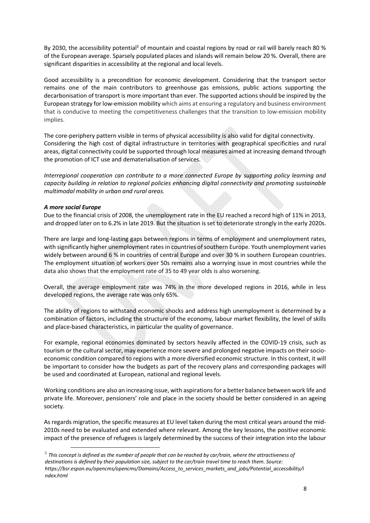By 2030, the accessibility potential<sup>3</sup> of mountain and coastal regions by road or rail will barely reach 80 % of the European average. Sparsely populated places and islands will remain below 20 %. Overall, there are significant disparities in accessibility at the regional and local levels.

Good accessibility is a precondition for economic development. Considering that the transport sector remains one of the main contributors to greenhouse gas emissions, public actions supporting the decarbonisation of transport is more important than ever. The supported actions should be inspired by the European strategy for low-emission mobility which aims at ensuring a regulatory and business environment that is conducive to meeting the competitiveness challenges that the transition to low-emission mobility implies.

The core-periphery pattern visible in terms of physical accessibility is also valid for digital connectivity. Considering the high cost of digital infrastructure in territories with geographical specificities and rural areas, digital connectivity could be supported through local measures aimed at increasing demand through the promotion of ICT use and dematerialisation of services.

Interregional cooperation can contribute to a more connected Europe by supporting policy learning and capacity building in relation to regional policies enhancing digital connectivity and promoting sustainable multimodal mobility in urban and rural areas.

#### A more social Europe

 $\overline{a}$ 

Due to the financial crisis of 2008, the unemployment rate in the EU reached a record high of 11% in 2013, and dropped later on to 6.2% in late 2019. But the situation is set to deteriorate strongly in the early 2020s.

There are large and long-lasting gaps between regions in terms of employment and unemployment rates, with significantly higher unemployment rates in countries of southern Europe. Youth unemployment varies widely between around 6 % in countries of central Europe and over 30 % in southern European countries. The employment situation of workers over 50s remains also a worrying issue in most countries while the data also shows that the employment rate of 35 to 49 year olds is also worsening.

Overall, the average employment rate was 74% in the more developed regions in 2016, while in less developed regions, the average rate was only 65%.

The ability of regions to withstand economic shocks and address high unemployment is determined by a combination of factors, including the structure of the economy, labour market flexibility, the level of skills and place-based characteristics, in particular the quality of governance.

For example, regional economies dominated by sectors heavily affected in the COVID-19 crisis, such as tourism or the cultural sector, may experience more severe and prolonged negative impacts on their socioeconomic condition compared to regions with a more diversified economic structure. In this context, it will be important to consider how the budgets as part of the recovery plans and corresponding packages will be used and coordinated at European, national and regional levels.

Working conditions are also an increasing issue, with aspirations for a better balance between work life and private life. Moreover, pensioners' role and place in the society should be better considered in an ageing society.

As regards migration, the specific measures at EU level taken during the most critical years around the mid-2010s need to be evaluated and extended where relevant. Among the key lessons, the positive economic impact of the presence of refugees is largely determined by the success of their integration into the labour

 $^3$  This concept is defined as the number of people that can be reached by car/train, where the attractiveness of destinations is defined by their population size, subject to the car/train travel time to reach them. Source: https://bsr.espon.eu/opencms/opencms/Domains/Access\_to\_services\_markets\_and\_jobs/Potential\_accessibility/i ndex.html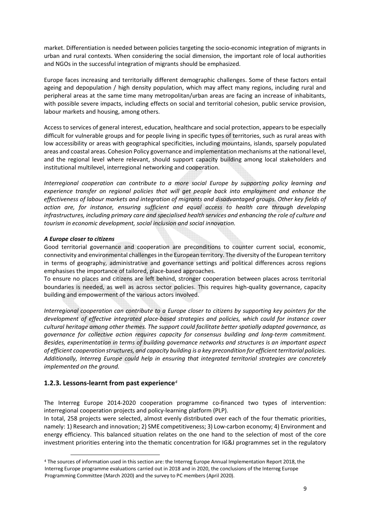market. Differentiation is needed between policies targeting the socio-economic integration of migrants in urban and rural contexts. When considering the social dimension, the important role of local authorities and NGOs in the successful integration of migrants should be emphasized.

Europe faces increasing and territorially different demographic challenges. Some of these factors entail ageing and depopulation / high density population, which may affect many regions, including rural and peripheral areas at the same time many metropolitan/urban areas are facing an increase of inhabitants, with possible severe impacts, including effects on social and territorial cohesion, public service provision, labour markets and housing, among others.

Access to services of general interest, education, healthcare and social protection, appears to be especially difficult for vulnerable groups and for people living in specific types of territories, such as rural areas with low accessibility or areas with geographical specificities, including mountains, islands, sparsely populated areas and coastal areas. Cohesion Policy governance and implementation mechanisms at the national level, and the regional level where relevant, should support capacity building among local stakeholders and institutional multilevel, interregional networking and cooperation.

Interregional cooperation can contribute to a more social Europe by supporting policy learning and experience transfer on regional policies that will get people back into employment and enhance the effectiveness of labour markets and integration of migrants and disadvantaged groups. Other key fields of action are, for instance, ensuring sufficient and equal access to health care through developing infrastructures, including primary care and specialised health services and enhancing the role of culture and tourism in economic development, social inclusion and social innovation.

#### A Europe closer to citizens

 $\overline{a}$ 

Good territorial governance and cooperation are preconditions to counter current social, economic, connectivity and environmental challenges in the European territory. The diversity of the European territory in terms of geography, administrative and governance settings and political differences across regions emphasises the importance of tailored, place-based approaches.

To ensure no places and citizens are left behind, stronger cooperation between places across territorial boundaries is needed, as well as across sector policies. This requires high-quality governance, capacity building and empowerment of the various actors involved.

Interregional cooperation can contribute to a Europe closer to citizens by supporting key pointers for the development of effective integrated place-based strategies and policies, which could for instance cover cultural heritage among other themes. The support could facilitate better spatially adapted governance, as governance for collective action requires capacity for consensus building and long-term commitment. Besides, experimentation in terms of building governance networks and structures is an important aspect of efficient cooperation structures, and capacity building is a key precondition for efficient territorial policies. Additionally, Interreg Europe could help in ensuring that integrated territorial strategies are concretely implemented on the ground.

# 1.2.3. Lessons-learnt from past experience<sup>4</sup>

The Interreg Europe 2014-2020 cooperation programme co-financed two types of intervention: interregional cooperation projects and policy-learning platform (PLP).

In total, 258 projects were selected, almost evenly distributed over each of the four thematic priorities, namely: 1) Research and innovation; 2) SME competitiveness; 3) Low-carbon economy; 4) Environment and energy efficiency. This balanced situation relates on the one hand to the selection of most of the core investment priorities entering into the thematic concentration for IG&J programmes set in the regulatory

<sup>4</sup> The sources of information used in this section are: the Interreg Europe Annual Implementation Report 2018, the Interreg Europe programme evaluations carried out in 2018 and in 2020, the conclusions of the Interreg Europe Programming Committee (March 2020) and the survey to PC members (April 2020).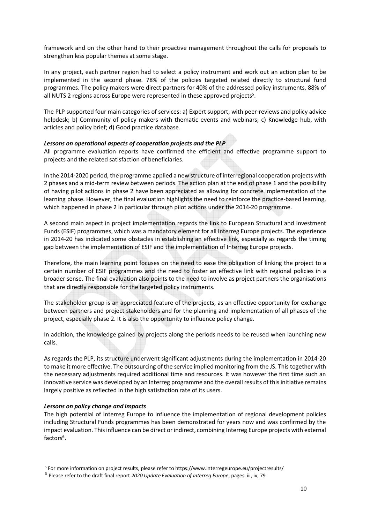framework and on the other hand to their proactive management throughout the calls for proposals to strengthen less popular themes at some stage.

In any project, each partner region had to select a policy instrument and work out an action plan to be implemented in the second phase. 78% of the policies targeted related directly to structural fund programmes. The policy makers were direct partners for 40% of the addressed policy instruments. 88% of all NUTS 2 regions across Europe were represented in these approved projects<sup>5</sup>.

The PLP supported four main categories of services: a) Expert support, with peer-reviews and policy advice helpdesk; b) Community of policy makers with thematic events and webinars; c) Knowledge hub, with articles and policy brief; d) Good practice database.

#### Lessons on operational aspects of cooperation projects and the PLP

All programme evaluation reports have confirmed the efficient and effective programme support to projects and the related satisfaction of beneficiaries.

In the 2014-2020 period, the programme applied a new structure of interregional cooperation projects with 2 phases and a mid-term review between periods. The action plan at the end of phase 1 and the possibility of having pilot actions in phase 2 have been appreciated as allowing for concrete implementation of the learning phase. However, the final evaluation highlights the need to reinforce the practice-based learning, which happened in phase 2 in particular through pilot actions under the 2014-20 programme.

A second main aspect in project implementation regards the link to European Structural and Investment Funds (ESIF) programmes, which was a mandatory element for all Interreg Europe projects. The experience in 2014-20 has indicated some obstacles in establishing an effective link, especially as regards the timing gap between the implementation of ESIF and the implementation of Interreg Europe projects.

Therefore, the main learning point focuses on the need to ease the obligation of linking the project to a certain number of ESIF programmes and the need to foster an effective link with regional policies in a broader sense. The final evaluation also points to the need to involve as project partners the organisations that are directly responsible for the targeted policy instruments.

The stakeholder group is an appreciated feature of the projects, as an effective opportunity for exchange between partners and project stakeholders and for the planning and implementation of all phases of the project, especially phase 2. It is also the opportunity to influence policy change.

In addition, the knowledge gained by projects along the periods needs to be reused when launching new calls.

As regards the PLP, its structure underwent significant adjustments during the implementation in 2014-20 to make it more effective. The outsourcing of the service implied monitoring from the JS. This together with the necessary adjustments required additional time and resources. It was however the first time such an innovative service was developed by an Interreg programme and the overall results of this initiative remains largely positive as reflected in the high satisfaction rate of its users.

#### Lessons on policy change and impacts

 $\overline{a}$ 

The high potential of Interreg Europe to influence the implementation of regional development policies including Structural Funds programmes has been demonstrated for years now and was confirmed by the impact evaluation. This influence can be direct or indirect, combining Interreg Europe projects with external factors<sup>6</sup>.

<sup>5</sup> For more information on project results, please refer to https://www.interregeurope.eu/projectresults/

 $6$  Please refer to the draft final report 2020 Update Evaluation of Interreg Europe, pages iii, iv, 79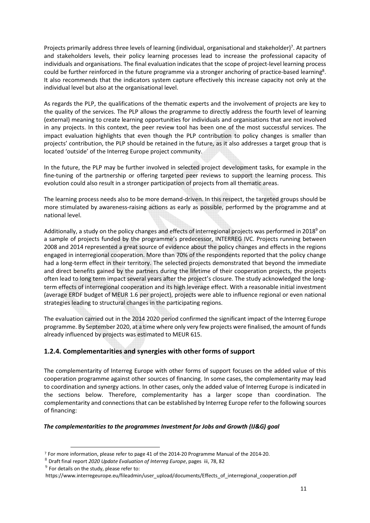Projects primarily address three levels of learning (individual, organisational and stakeholder)<sup>7</sup>. At partners and stakeholders levels, their policy learning processes lead to increase the professional capacity of individuals and organisations. The final evaluation indicates that the scope of project-level learning process could be further reinforced in the future programme via a stronger anchoring of practice-based learning<sup>8</sup>. It also recommends that the indicators system capture effectively this increase capacity not only at the individual level but also at the organisational level.

As regards the PLP, the qualifications of the thematic experts and the involvement of projects are key to the quality of the services. The PLP allows the programme to directly address the fourth level of learning (external) meaning to create learning opportunities for individuals and organisations that are not involved in any projects. In this context, the peer review tool has been one of the most successful services. The impact evaluation highlights that even though the PLP contribution to policy changes is smaller than projects' contribution, the PLP should be retained in the future, as it also addresses a target group that is located 'outside' of the Interreg Europe project community.

In the future, the PLP may be further involved in selected project development tasks, for example in the fine-tuning of the partnership or offering targeted peer reviews to support the learning process. This evolution could also result in a stronger participation of projects from all thematic areas.

The learning process needs also to be more demand-driven. In this respect, the targeted groups should be more stimulated by awareness-raising actions as early as possible, performed by the programme and at national level.

Additionally, a study on the policy changes and effects of interregional projects was performed in 2018<sup>9</sup> on a sample of projects funded by the programme's predecessor, INTERREG IVC. Projects running between 2008 and 2014 represented a great source of evidence about the policy changes and effects in the regions engaged in interregional cooperation. More than 70% of the respondents reported that the policy change had a long-term effect in their territory. The selected projects demonstrated that beyond the immediate and direct benefits gained by the partners during the lifetime of their cooperation projects, the projects often lead to long term impact several years after the project's closure. The study acknowledged the longterm effects of interregional cooperation and its high leverage effect. With a reasonable initial investment (average ERDF budget of MEUR 1.6 per project), projects were able to influence regional or even national strategies leading to structural changes in the participating regions.

The evaluation carried out in the 2014 2020 period confirmed the significant impact of the Interreg Europe programme. By September 2020, at a time where only very few projects were finalised, the amount of funds already influenced by projects was estimated to MEUR 615.

# 1.2.4. Complementarities and synergies with other forms of support

The complementarity of Interreg Europe with other forms of support focuses on the added value of this cooperation programme against other sources of financing. In some cases, the complementarity may lead to coordination and synergy actions. In other cases, only the added value of Interreg Europe is indicated in the sections below. Therefore, complementarity has a larger scope than coordination. The complementarity and connections that can be established by Interreg Europe refer to the following sources of financing:

# The complementarities to the programmes Investment for Jobs and Growth (IJ&G) goal

 $\overline{a}$ 7 For more information, please refer to page 41 of the 2014-20 Programme Manual of the 2014-20.

<sup>&</sup>lt;sup>8</sup> Draft final report 2020 Update Evaluation of Interreg Europe, pages iii, 78, 82

 $9$  For details on the study, please refer to:

https://www.interregeurope.eu/fileadmin/user\_upload/documents/Effects\_of\_interregional\_cooperation.pdf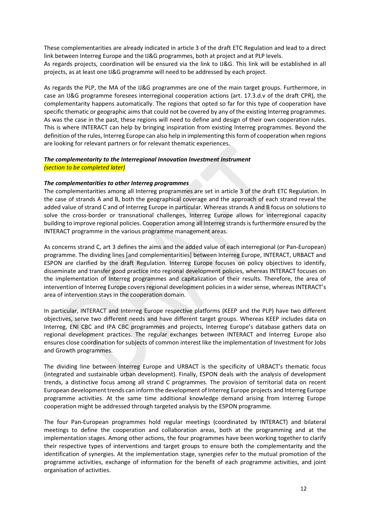These complementarities are already indicated in article 3 of the draft ETC Regulation and lead to a direct link between Interreg Europe and the IJ&G programmes, both at project and at PLP levels. As regards projects, coordination will be ensured via the link to IJ&G. This link will be established in all projects, as at least one IJ&G programme will need to be addressed by each project.

As regards the PLP, the MA of the IJ&G programmes are one of the main target groups. Furthermore, in case an IJ&G programme foresees interregional cooperation actions (art. 17.3.d.v of the draft CPR), the complementarity happens automatically. The regions that opted so far for this type of cooperation have specific thematic or geographic aims that could not be covered by any of the existing Interreg programmes. As was the case in the past, these regions will need to define and design of their own cooperation rules. This is where INTERACT can help by bringing inspiration from existing Interreg programmes. Beyond the definition of the rules, Interreg Europe can also help in implementing this form of cooperation when regions are looking for relevant partners or for relevant thematic experiences.

## The complementarity to the Interregional Innovation Investment Instrument (section to be completed later)

#### The complementarities to other Interreg programmes

The complementarities among all Interreg programmes are set in article 3 of the draft ETC Regulation. In the case of strands A and B, both the geographical coverage and the approach of each strand reveal the added value of strand C and of Interreg Europe in particular. Whereas strands A and B focus on solutions to solve the cross-border or transnational challenges, Interreg Europe allows for interregional capacity building to improve regional policies. Cooperation among all Interreg strands is furthermore ensured by the INTERACT programme in the various programme management areas.

As concerns strand C, art 3 defines the aims and the added value of each interregional (or Pan-European) programme. The dividing lines [and complementarities] between Interreg Europe, INTERACT, URBACT and ESPON are clarified by the draft Regulation. Interreg Europe focuses on policy objectives to identify, disseminate and transfer good practice into regional development policies, whereas INTERACT focuses on the implementation of Interreg programmes and capitalization of their results. Therefore, the area of intervention of Interreg Europe covers regional development policies in a wider sense, whereas INTERACT's area of intervention stays in the cooperation domain.

In particular, INTERACT and Interreg Europe respective platforms (KEEP and the PLP) have two different objectives, serve two different needs and have different target groups. Whereas KEEP includes data on Interreg, ENI CBC and IPA CBC programmes and projects, Interreg Europe's database gathers data on regional development practices. The regular exchanges between INTERACT and Interreg Europe also ensures close coordination for subjects of common interest like the implementation of Investment for Jobs and Growth programmes.

The dividing line between Interreg Europe and URBACT is the specificity of URBACT's thematic focus (integrated and sustainable urban development). Finally, ESPON deals with the analysis of development trends, a distinctive focus among all strand C programmes. The provision of territorial data on recent European development trends can inform the development of Interreg Europe projects and Interreg Europe programme activities. At the same time additional knowledge demand arising from Interreg Europe cooperation might be addressed through targeted analysis by the ESPON programme.

The four Pan-European programmes hold regular meetings (coordinated by INTERACT) and bilateral meetings to define the cooperation and collaboration areas, both at the programming and at the implementation stages. Among other actions, the four programmes have been working together to clarify their respective types of interventions and target groups to ensure both the complementarity and the identification of synergies. At the implementation stage, synergies refer to the mutual promotion of the programme activities, exchange of information for the benefit of each programme activities, and joint organisation of activities.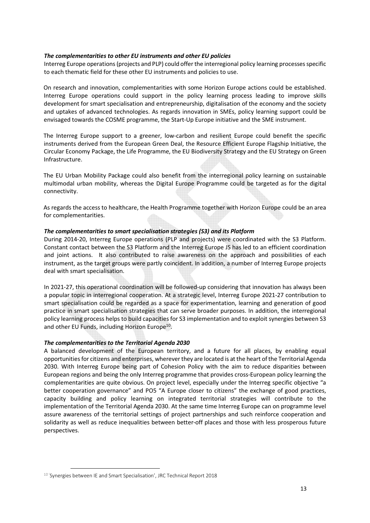#### The complementarities to other EU instruments and other EU policies

Interreg Europe operations (projects and PLP) could offer the interregional policy learning processes specific to each thematic field for these other EU instruments and policies to use.

On research and innovation, complementarities with some Horizon Europe actions could be established. Interreg Europe operations could support in the policy learning process leading to improve skills development for smart specialisation and entrepreneurship, digitalisation of the economy and the society and uptakes of advanced technologies. As regards innovation in SMEs, policy learning support could be envisaged towards the COSME programme, the Start-Up Europe initiative and the SME instrument.

The Interreg Europe support to a greener, low-carbon and resilient Europe could benefit the specific instruments derived from the European Green Deal, the Resource Efficient Europe Flagship Initiative, the Circular Economy Package, the Life Programme, the EU Biodiversity Strategy and the EU Strategy on Green Infrastructure.

The EU Urban Mobility Package could also benefit from the interregional policy learning on sustainable multimodal urban mobility, whereas the Digital Europe Programme could be targeted as for the digital connectivity.

As regards the access to healthcare, the Health Programme together with Horizon Europe could be an area for complementarities.

#### The complementarities to smart specialisation strategies (S3) and its Platform

During 2014-20, Interreg Europe operations (PLP and projects) were coordinated with the S3 Platform. Constant contact between the S3 Platform and the Interreg Europe JS has led to an efficient coordination and joint actions. It also contributed to raise awareness on the approach and possibilities of each instrument, as the target groups were partly coincident. In addition, a number of Interreg Europe projects deal with smart specialisation.

In 2021-27, this operational coordination will be followed-up considering that innovation has always been a popular topic in interregional cooperation. At a strategic level, Interreg Europe 2021-27 contribution to smart specialisation could be regarded as a space for experimentation, learning and generation of good practice in smart specialisation strategies that can serve broader purposes. In addition, the interregional policy learning process helps to build capacities for S3 implementation and to exploit synergies between S3 and other EU Funds, including Horizon Europe<sup>10</sup>.

#### The complementarities to the Territorial Agenda 2030

A balanced development of the European territory, and a future for all places, by enabling equal opportunities for citizens and enterprises, wherever they are located is at the heart of the Territorial Agenda 2030. With Interreg Europe being part of Cohesion Policy with the aim to reduce disparities between European regions and being the only Interreg programme that provides cross-European policy learning the complementarities are quite obvious. On project level, especially under the Interreg specific objective "a better cooperation governance" and PO5 "A Europe closer to citizens" the exchange of good practices, capacity building and policy learning on integrated territorial strategies will contribute to the implementation of the Territorial Agenda 2030. At the same time Interreg Europe can on programme level assure awareness of the territorial settings of project partnerships and such reinforce cooperation and solidarity as well as reduce inequalities between better-off places and those with less prosperous future perspectives.

 $\overline{a}$ 

<sup>&</sup>lt;sup>10</sup> 'Synergies between IE and Smart Specialisation', JRC Technical Report 2018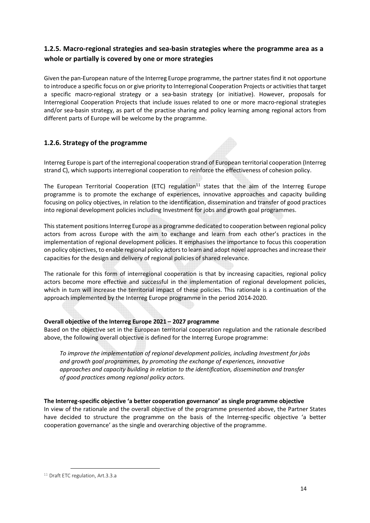# 1.2.5. Macro-regional strategies and sea-basin strategies where the programme area as a whole or partially is covered by one or more strategies

Given the pan-European nature of the Interreg Europe programme, the partner states find it not opportune to introduce a specific focus on or give priority to Interregional Cooperation Projects or activities that target a specific macro-regional strategy or a sea-basin strategy (or initiative). However, proposals for Interregional Cooperation Projects that include issues related to one or more macro-regional strategies and/or sea-basin strategy, as part of the practise sharing and policy learning among regional actors from different parts of Europe will be welcome by the programme.

# 1.2.6. Strategy of the programme

Interreg Europe is part of the interregional cooperation strand of European territorial cooperation (Interreg strand C), which supports interregional cooperation to reinforce the effectiveness of cohesion policy.

The European Territorial Cooperation (ETC) regulation<sup>11</sup> states that the aim of the Interreg Europe programme is to promote the exchange of experiences, innovative approaches and capacity building focusing on policy objectives, in relation to the identification, dissemination and transfer of good practices into regional development policies including Investment for jobs and growth goal programmes.

This statement positions Interreg Europe as a programme dedicated to cooperation between regional policy actors from across Europe with the aim to exchange and learn from each other's practices in the implementation of regional development policies. It emphasises the importance to focus this cooperation on policy objectives, to enable regional policy actors to learn and adopt novel approaches and increase their capacities for the design and delivery of regional policies of shared relevance.

The rationale for this form of interregional cooperation is that by increasing capacities, regional policy actors become more effective and successful in the implementation of regional development policies, which in turn will increase the territorial impact of these policies. This rationale is a continuation of the approach implemented by the Interreg Europe programme in the period 2014-2020.

# Overall objective of the Interreg Europe 2021 – 2027 programme

Based on the objective set in the European territorial cooperation regulation and the rationale described above, the following overall objective is defined for the Interreg Europe programme:

To improve the implementation of regional development policies, including Investment for jobs and growth goal programmes, by promoting the exchange of experiences, innovative approaches and capacity building in relation to the identification, dissemination and transfer of good practices among regional policy actors.

#### The Interreg-specific objective 'a better cooperation governance' as single programme objective

In view of the rationale and the overall objective of the programme presented above, the Partner States have decided to structure the programme on the basis of the Interreg-specific objective 'a better cooperation governance' as the single and overarching objective of the programme.

 $\overline{a}$ 

<sup>&</sup>lt;sup>11</sup> Draft ETC regulation, Art.3.3.a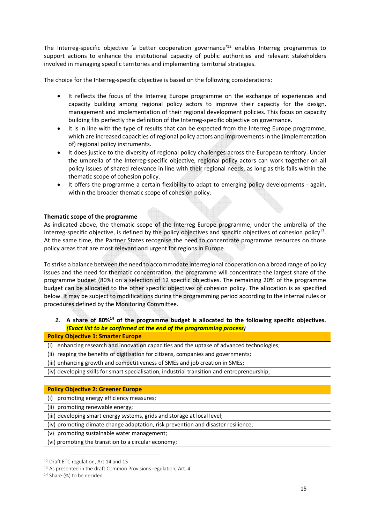The Interreg-specific objective 'a better cooperation governance'<sup>12</sup> enables Interreg programmes to support actions to enhance the institutional capacity of public authorities and relevant stakeholders involved in managing specific territories and implementing territorial strategies.

The choice for the Interreg-specific objective is based on the following considerations:

- It reflects the focus of the Interreg Europe programme on the exchange of experiences and capacity building among regional policy actors to improve their capacity for the design, management and implementation of their regional development policies. This focus on capacity building fits perfectly the definition of the Interreg-specific objective on governance.
- It is in line with the type of results that can be expected from the Interreg Europe programme, which are increased capacities of regional policy actors and improvements in the (implementation of) regional policy instruments.
- It does justice to the diversity of regional policy challenges across the European territory. Under the umbrella of the Interreg-specific objective, regional policy actors can work together on all policy issues of shared relevance in line with their regional needs, as long as this falls within the thematic scope of cohesion policy.
- It offers the programme a certain flexibility to adapt to emerging policy developments again, within the broader thematic scope of cohesion policy.

#### Thematic scope of the programme

As indicated above, the thematic scope of the Interreg Europe programme, under the umbrella of the Interreg-specific objective, is defined by the policy objectives and specific objectives of cohesion policy<sup>13</sup>. At the same time, the Partner States recognise the need to concentrate programme resources on those policy areas that are most relevant and urgent for regions in Europe.

To strike a balance between the need to accommodate interregional cooperation on a broad range of policy issues and the need for thematic concentration, the programme will concentrate the largest share of the programme budget (80%) on a selection of 12 specific objectives. The remaining 20% of the programme budget can be allocated to the other specific objectives of cohesion policy. The allocation is as specified below. It may be subject to modifications during the programming period according to the internal rules or procedures defined by the Monitoring Committee.

## 1. A share of 80%<sup>14</sup> of the programme budget is allocated to the following specific objectives. (Exact list to be confirmed at the end of the programming process)

#### Policy Objective 1: Smarter Europe

(i) enhancing research and innovation capacities and the uptake of advanced technologies;

(ii) reaping the benefits of digitisation for citizens, companies and governments;

(iii) enhancing growth and competitiveness of SMEs and job creation in SMEs;

(iv) developing skills for smart specialisation, industrial transition and entrepreneurship;

#### Policy Objective 2: Greener Europe

(i) promoting energy efficiency measures;

(ii) promoting renewable energy;

(iii) developing smart energy systems, grids and storage at local level;

(iv) promoting climate change adaptation, risk prevention and disaster resilience;

(v) promoting sustainable water management;

(vi) promoting the transition to a circular economy;

 $\overline{a}$ 

<sup>12</sup> Draft ETC regulation, Art.14 and 15

<sup>&</sup>lt;sup>13</sup> As presented in the draft Common Provisions regulation, Art. 4

<sup>&</sup>lt;sup>14</sup> Share (%) to be decided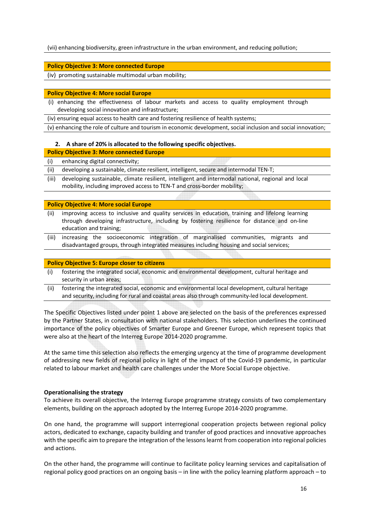(vii) enhancing biodiversity, green infrastructure in the urban environment, and reducing pollution;

#### Policy Objective 3: More connected Europe

(iv) promoting sustainable multimodal urban mobility;

#### Policy Objective 4: More social Europe

(i) enhancing the effectiveness of labour markets and access to quality employment through developing social innovation and infrastructure;

(iv) ensuring equal access to health care and fostering resilience of health systems;

(v) enhancing the role of culture and tourism in economic development, social inclusion and social innovation;

#### 2. A share of 20% is allocated to the following specific objectives.

#### Policy Objective 3: More connected Europe

#### (i) enhancing digital connectivity;

(ii) developing a sustainable, climate resilient, intelligent, secure and intermodal TEN-T;

(iii) developing sustainable, climate resilient, intelligent and intermodal national, regional and local mobility, including improved access to TEN-T and cross-border mobility;

#### Policy Objective 4: More social Europe

- (ii) improving access to inclusive and quality services in education, training and lifelong learning through developing infrastructure, including by fostering resilience for distance and on-line education and training;
- (iii) increasing the socioeconomic integration of marginalised communities, migrants and disadvantaged groups, through integrated measures including housing and social services;

#### Policy Objective 5: Europe closer to citizens

- (i) fostering the integrated social, economic and environmental development, cultural heritage and security in urban areas;
- (ii) fostering the integrated social, economic and environmental local development, cultural heritage and security, including for rural and coastal areas also through community-led local development.

The Specific Objectives listed under point 1 above are selected on the basis of the preferences expressed by the Partner States, in consultation with national stakeholders. This selection underlines the continued importance of the policy objectives of Smarter Europe and Greener Europe, which represent topics that were also at the heart of the Interreg Europe 2014-2020 programme.

At the same time this selection also reflects the emerging urgency at the time of programme development of addressing new fields of regional policy in light of the impact of the Covid-19 pandemic, in particular related to labour market and health care challenges under the More Social Europe objective.

#### Operationalising the strategy

To achieve its overall objective, the Interreg Europe programme strategy consists of two complementary elements, building on the approach adopted by the Interreg Europe 2014-2020 programme.

On one hand, the programme will support interregional cooperation projects between regional policy actors, dedicated to exchange, capacity building and transfer of good practices and innovative approaches with the specific aim to prepare the integration of the lessons learnt from cooperation into regional policies and actions.

On the other hand, the programme will continue to facilitate policy learning services and capitalisation of regional policy good practices on an ongoing basis – in line with the policy learning platform approach – to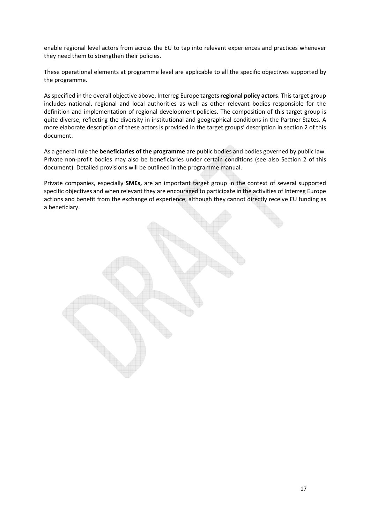enable regional level actors from across the EU to tap into relevant experiences and practices whenever they need them to strengthen their policies.

These operational elements at programme level are applicable to all the specific objectives supported by the programme.

As specified in the overall objective above, Interreg Europe targets regional policy actors. This target group includes national, regional and local authorities as well as other relevant bodies responsible for the definition and implementation of regional development policies. The composition of this target group is quite diverse, reflecting the diversity in institutional and geographical conditions in the Partner States. A more elaborate description of these actors is provided in the target groups' description in section 2 of this document.

As a general rule the beneficiaries of the programme are public bodies and bodies governed by public law. Private non-profit bodies may also be beneficiaries under certain conditions (see also Section 2 of this document). Detailed provisions will be outlined in the programme manual.

Private companies, especially SMEs, are an important target group in the context of several supported specific objectives and when relevant they are encouraged to participate in the activities of Interreg Europe actions and benefit from the exchange of experience, although they cannot directly receive EU funding as a beneficiary.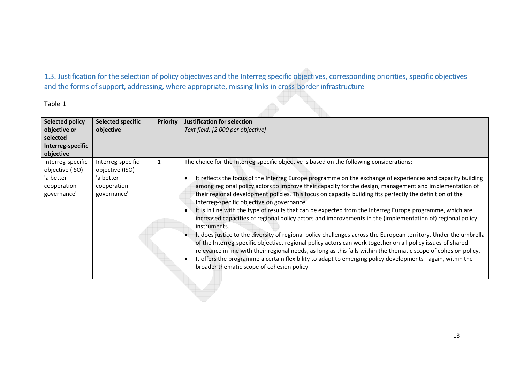1.3. Justification for the selection of policy objectives and the Interreg specific objectives, corresponding priorities, specific objectives and the forms of support, addressing, where appropriate, missing links in cross-border infrastructure

Table 1

| <b>Selected policy</b><br>objective or<br>selected<br>Interreg-specific<br>objective | <b>Selected specific</b><br>objective                                           | <b>Priority</b> | <b>Justification for selection</b><br>Text field: [2 000 per objective]                                                                                                                                                                                                                                                                                                                                                                                                                                                                                                                                                                                                                                                                                                                                                                                                                                                                                                                                                                                                                                                                                                                                                                     |
|--------------------------------------------------------------------------------------|---------------------------------------------------------------------------------|-----------------|---------------------------------------------------------------------------------------------------------------------------------------------------------------------------------------------------------------------------------------------------------------------------------------------------------------------------------------------------------------------------------------------------------------------------------------------------------------------------------------------------------------------------------------------------------------------------------------------------------------------------------------------------------------------------------------------------------------------------------------------------------------------------------------------------------------------------------------------------------------------------------------------------------------------------------------------------------------------------------------------------------------------------------------------------------------------------------------------------------------------------------------------------------------------------------------------------------------------------------------------|
| Interreg-specific<br>objective (ISO)<br>'a better<br>cooperation<br>governance'      | Interreg-specific<br>objective (ISO)<br>'a better<br>cooperation<br>governance' | 1               | The choice for the Interreg-specific objective is based on the following considerations:<br>It reflects the focus of the Interreg Europe programme on the exchange of experiences and capacity building<br>among regional policy actors to improve their capacity for the design, management and implementation of<br>their regional development policies. This focus on capacity building fits perfectly the definition of the<br>Interreg-specific objective on governance.<br>It is in line with the type of results that can be expected from the Interreg Europe programme, which are<br>increased capacities of regional policy actors and improvements in the (implementation of) regional policy<br>instruments.<br>It does justice to the diversity of regional policy challenges across the European territory. Under the umbrella<br>of the Interreg-specific objective, regional policy actors can work together on all policy issues of shared<br>relevance in line with their regional needs, as long as this falls within the thematic scope of cohesion policy.<br>It offers the programme a certain flexibility to adapt to emerging policy developments - again, within the<br>broader thematic scope of cohesion policy. |